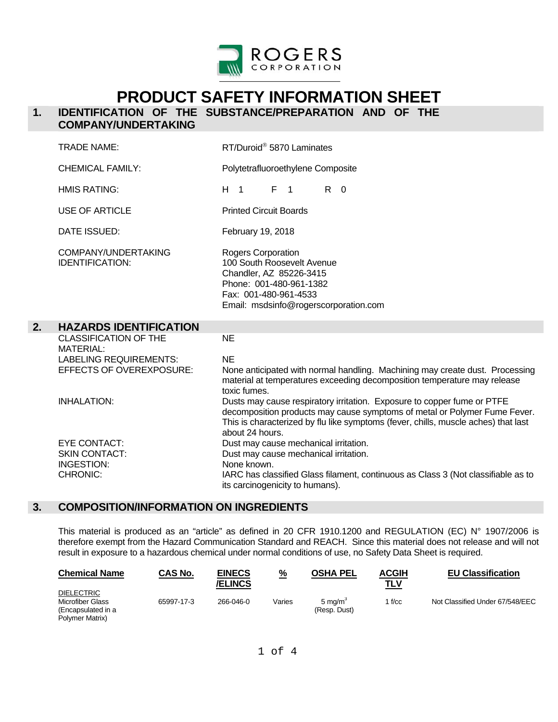

# **PRODUCT SAFETY INFORMATION SHEET**

# **1. IDENTIFICATION OF THE SUBSTANCE/PREPARATION AND OF THE COMPANY/UNDERTAKING**

|    | <b>TRADE NAME:</b>                                                                | RT/Duroid <sup>®</sup> 5870 Laminates                                                                                                                                                                                                                         |
|----|-----------------------------------------------------------------------------------|---------------------------------------------------------------------------------------------------------------------------------------------------------------------------------------------------------------------------------------------------------------|
|    | <b>CHEMICAL FAMILY:</b>                                                           | Polytetrafluoroethylene Composite                                                                                                                                                                                                                             |
|    | <b>HMIS RATING:</b>                                                               | H <sub>1</sub><br>$F \quad 1$<br>$R \quad 0$                                                                                                                                                                                                                  |
|    | <b>USE OF ARTICLE</b>                                                             | <b>Printed Circuit Boards</b>                                                                                                                                                                                                                                 |
|    | DATE ISSUED:                                                                      | February 19, 2018                                                                                                                                                                                                                                             |
|    | COMPANY/UNDERTAKING<br><b>IDENTIFICATION:</b>                                     | Rogers Corporation<br>100 South Roosevelt Avenue<br>Chandler, AZ 85226-3415<br>Phone: 001-480-961-1382<br>Fax: 001-480-961-4533<br>Email: msdsinfo@rogerscorporation.com                                                                                      |
| 2. | <b>HAZARDS IDENTIFICATION</b>                                                     |                                                                                                                                                                                                                                                               |
|    | <b>CLASSIFICATION OF THE</b><br><b>MATERIAL:</b><br><b>LABELING REQUIREMENTS:</b> | <b>NE</b><br><b>NE</b>                                                                                                                                                                                                                                        |
|    | EFFECTS OF OVEREXPOSURE:                                                          | None anticipated with normal handling. Machining may create dust. Processing<br>material at temperatures exceeding decomposition temperature may release<br>toxic fumes.                                                                                      |
|    | <b>INHALATION:</b>                                                                | Dusts may cause respiratory irritation. Exposure to copper fume or PTFE<br>decomposition products may cause symptoms of metal or Polymer Fume Fever.<br>This is characterized by flu like symptoms (fever, chills, muscle aches) that last<br>about 24 hours. |
|    | <b>EYE CONTACT:</b>                                                               | Dust may cause mechanical irritation.                                                                                                                                                                                                                         |
|    | <b>SKIN CONTACT:</b>                                                              | Dust may cause mechanical irritation.                                                                                                                                                                                                                         |
|    | INGESTION:<br>CHRONIC:                                                            | None known.<br>IARC has classified Glass filament, continuous as Class 3 (Not classifiable as to                                                                                                                                                              |
|    |                                                                                   |                                                                                                                                                                                                                                                               |

# **3. COMPOSITION/INFORMATION ON INGREDIENTS**

 This material is produced as an "article" as defined in 20 CFR 1910.1200 and REGULATION (EC) N° 1907/2006 is therefore exempt from the Hazard Communication Standard and REACH. Since this material does not release and will not result in exposure to a hazardous chemical under normal conditions of use, no Safety Data Sheet is required.

| <b>Chemical Name</b>                                                           | CAS No.    | <b>EINECS</b><br><b>/ELINCS</b> | $\frac{9}{6}$ | <b>OSHA PEL</b>                   | <b>ACGIH</b><br>TLV | <b>EU Classification</b>        |
|--------------------------------------------------------------------------------|------------|---------------------------------|---------------|-----------------------------------|---------------------|---------------------------------|
| <b>DIELECTRIC</b><br>Microfiber Glass<br>(Encapsulated in a<br>Polymer Matrix) | 65997-17-3 | 266-046-0                       | Varies        | 5 ma/m $^{\circ}$<br>(Resp. Dust) | $f_{\rm /CC}$       | Not Classified Under 67/548/EEC |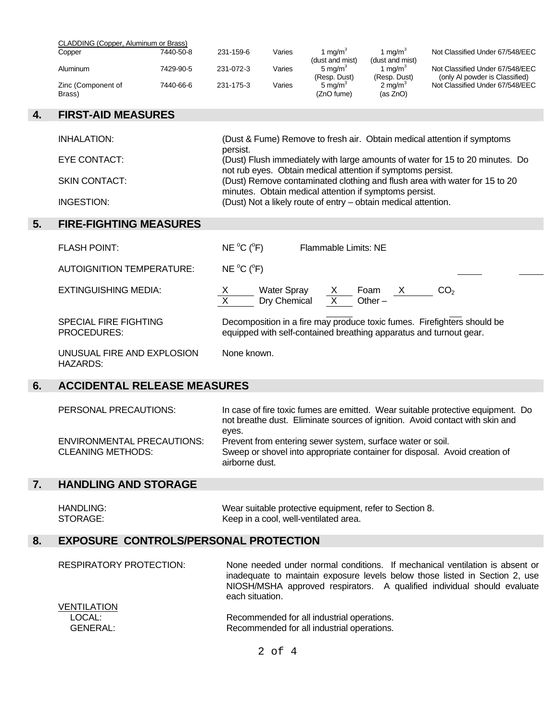| CLADDING (Copper, Aluminum or Brass) |           |           |        |                                      |                     |                                 |
|--------------------------------------|-----------|-----------|--------|--------------------------------------|---------------------|---------------------------------|
| Copper                               | 7440-50-8 | 231-159-6 | Varies | $\mathsf{Im}\mathsf{a}/\mathsf{m}^3$ | 1 ma/m <sup>3</sup> | Not Classified Under 67/548/EEC |
|                                      |           |           |        | (dust and mist)                      | (dust and mist)     |                                 |
| Aluminum                             | 7429-90-5 | 231-072-3 | Varies | 5 ma/m <sup>3</sup>                  | 1 ma/m $^3$         | Not Classified Under 67/548/EEC |
|                                      |           |           |        | (Resp. Dust)                         | (Resp. Dust)        | (only AI powder is Classified)  |
| Zinc (Component of                   | 7440-66-6 | 231-175-3 | Varies | 5 ma/m <sup>3</sup>                  | $2 \text{ mg/m}^3$  | Not Classified Under 67/548/EEC |
| Brass)                               |           |           |        | (ZnO fume)                           | (as ZnO)            |                                 |

### **4. FIRST-AID MEASURES**

| INHALATION:          | (Dust & Fume) Remove to fresh air. Obtain medical attention if symptoms<br>persist.                                                          |
|----------------------|----------------------------------------------------------------------------------------------------------------------------------------------|
| EYE CONTACT:         | (Dust) Flush immediately with large amounts of water for 15 to 20 minutes. Do<br>not rub eyes. Obtain medical attention if symptoms persist. |
| <b>SKIN CONTACT:</b> | (Dust) Remove contaminated clothing and flush area with water for 15 to 20<br>minutes. Obtain medical attention if symptoms persist.         |
| INGESTION:           | (Dust) Not a likely route of entry - obtain medical attention.                                                                               |

# **5. FIRE-FIGHTING MEASURES**

| <b>FLASH POINT:</b>                           | $NE ^{o}C(^{o}F)$  |                                                                    | Flammable Limits: NE |              |                                                                         |
|-----------------------------------------------|--------------------|--------------------------------------------------------------------|----------------------|--------------|-------------------------------------------------------------------------|
| AUTOIGNITION TEMPERATURE:                     | $NE ^{o}C (^{o}F)$ |                                                                    |                      |              |                                                                         |
| EXTINGUISHING MEDIA:                          | X                  | <b>Water Spray</b><br>Dry Chemical                                 | Foam<br>$Other -$    | $\mathbf{X}$ | CO <sub>2</sub>                                                         |
| SPECIAL FIRE FIGHTING<br>PROCEDURES:          |                    | equipped with self-contained breathing apparatus and turnout gear. |                      |              | Decomposition in a fire may produce toxic fumes. Firefighters should be |
| UNUSUAL FIRE AND EXPLOSION<br><b>HAZARDS:</b> | None known.        |                                                                    |                      |              |                                                                         |

# **6. ACCIDENTAL RELEASE MEASURES**

| PERSONAL PRECAUTIONS:                                         | In case of fire toxic fumes are emitted. Wear suitable protective equipment. Do<br>not breathe dust. Eliminate sources of ignition. Avoid contact with skin and<br>eves. |
|---------------------------------------------------------------|--------------------------------------------------------------------------------------------------------------------------------------------------------------------------|
| <b>ENVIRONMENTAL PRECAUTIONS:</b><br><b>CLEANING METHODS:</b> | Prevent from entering sewer system, surface water or soil.<br>Sweep or shovel into appropriate container for disposal. Avoid creation of                                 |
|                                                               | airborne dust.                                                                                                                                                           |

#### $7.$ **7. HANDLING AND STORAGE**

| HANDLING: | Wear suitable protective equipment, refer to Section 8. |
|-----------|---------------------------------------------------------|
| STORAGE:  | Keep in a cool, well-ventilated area.                   |

# **8. EXPOSURE CONTROLS/PERSONAL PROTECTION**

| RESPIRATORY PROTECTION:                  | None needed under normal conditions. If mechanical ventilation is absent or<br>inadequate to maintain exposure levels below those listed in Section 2, use<br>NIOSH/MSHA approved respirators. A qualified individual should evaluate<br>each situation. |
|------------------------------------------|----------------------------------------------------------------------------------------------------------------------------------------------------------------------------------------------------------------------------------------------------------|
| <b>VENTILATION</b><br>LOCAL:<br>GENERAL: | Recommended for all industrial operations.<br>Recommended for all industrial operations.                                                                                                                                                                 |

2 of 4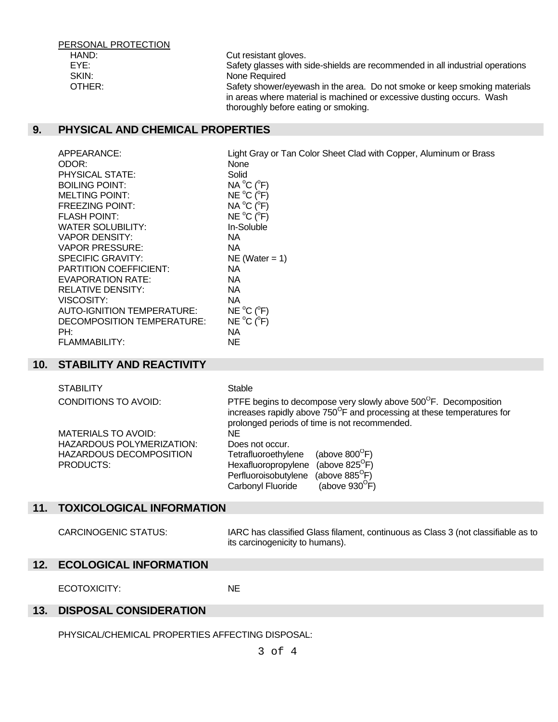| PERSONAL PROTECTION |                                                                               |
|---------------------|-------------------------------------------------------------------------------|
| HAND:               | Cut resistant gloves.                                                         |
| EYE:                | Safety glasses with side-shields are recommended in all industrial operations |
| SKIN:               | None Required                                                                 |
| OTHER:              | Safety shower/eyewash in the area. Do not smoke or keep smoking materials     |
|                     | in areas where material is machined or excessive dusting occurs. Wash         |
|                     | thoroughly before eating or smoking.                                          |

#### **9. PHYSICAL AND CHEMICAL PROPERTIES**

APPEARANCE: Light Gray or Tan Color Sheet Clad with Copper, Aluminum or Brass ODOR: None PHYSICAL STATE: Solid BOILING POINT:  $C(^oF)$ MELTING POINT: C (°F) FREEZING POINT: C (°F) FLASH POINT: C (°F) WATER SOLUBILITY: In-Soluble VAPOR DENSITY: NA VAPOR PRESSURE: NA SPECIFIC GRAVITY: NE (Water = 1) PARTITION COEFFICIENT: NA EVAPORATION RATE: NA RELATIVE DENSITY: NA VISCOSITY: NA AUTO-IGNITION TEMPERATURE:  $C(^oF)$ DECOMPOSITION TEMPERATURE: C (°F) PH: NA FLAMMABILITY: NE

#### **10. STABILITY AND REACTIVITY**

| <b>STABILITY</b>            | Stable                                                                                                                                                                                                               |
|-----------------------------|----------------------------------------------------------------------------------------------------------------------------------------------------------------------------------------------------------------------|
| <b>CONDITIONS TO AVOID:</b> | PTFE begins to decompose very slowly above 500 <sup>°</sup> F. Decomposition<br>increases rapidly above 750 <sup>°</sup> F and processing at these temperatures for<br>prolonged periods of time is not recommended. |
| <b>MATERIALS TO AVOID:</b>  | ΝE                                                                                                                                                                                                                   |
| HAZARDOUS POLYMERIZATION:   | Does not occur.                                                                                                                                                                                                      |
| HAZARDOUS DECOMPOSITION     | (above $800^{\circ}$ F)<br>Tetrafluoroethylene                                                                                                                                                                       |
| PRODUCTS:                   | (above $825^{\circ}$ F)<br>Hexafluoropropylene                                                                                                                                                                       |
|                             | (above $885^{\circ}$ F)<br>Perfluoroisobutylene                                                                                                                                                                      |
|                             | (above $930^{\circ}$ F)<br>Carbonyl Fluoride                                                                                                                                                                         |
|                             |                                                                                                                                                                                                                      |

#### **11. TOXICOLOGICAL INFORMATION**

 CARCINOGENIC STATUS: IARC has classified Glass filament, continuous as Class 3 (not classifiable as to its carcinogenicity to humans).

#### **12. ECOLOGICAL INFORMATION**

ECOTOXICITY: NE

#### **13. DISPOSAL CONSIDERATION**

PHYSICAL/CHEMICAL PROPERTIES AFFECTING DISPOSAL: